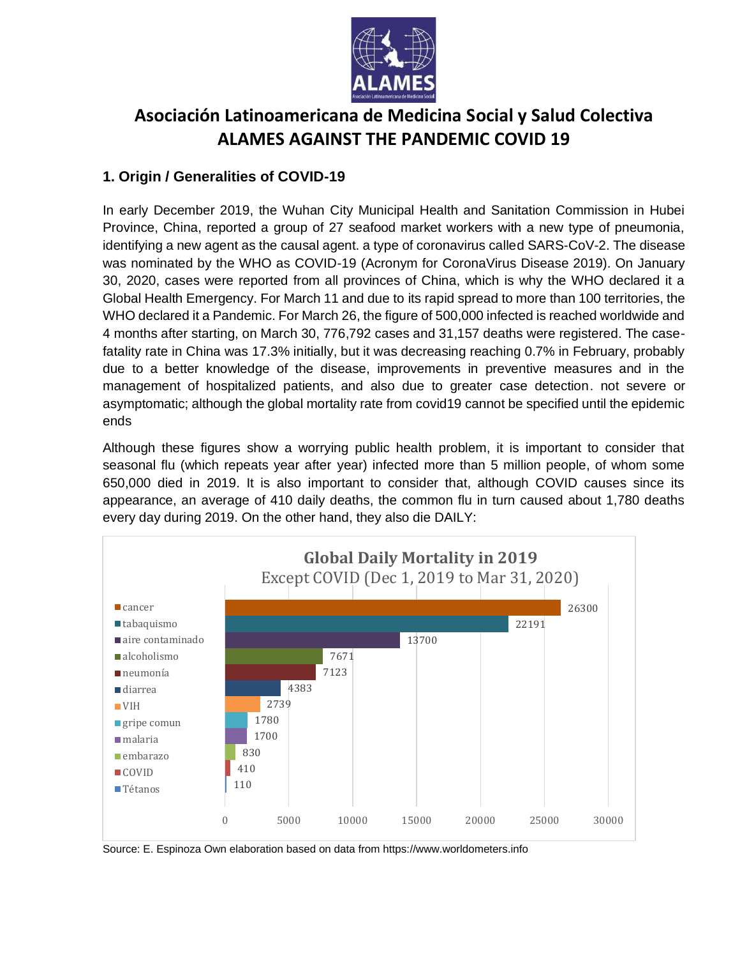

# **Asociación Latinoamericana de Medicina Social y Salud Colectiva ALAMES AGAINST THE PANDEMIC COVID 19**

# **1. Origin / Generalities of COVID-19**

In early December 2019, the Wuhan City Municipal Health and Sanitation Commission in Hubei Province, China, reported a group of 27 seafood market workers with a new type of pneumonia, identifying a new agent as the causal agent. a type of coronavirus called SARS-CoV-2. The disease was nominated by the WHO as COVID-19 (Acronym for CoronaVirus Disease 2019). On January 30, 2020, cases were reported from all provinces of China, which is why the WHO declared it a Global Health Emergency. For March 11 and due to its rapid spread to more than 100 territories, the WHO declared it a Pandemic. For March 26, the figure of 500,000 infected is reached worldwide and 4 months after starting, on March 30, 776,792 cases and 31,157 deaths were registered. The casefatality rate in China was 17.3% initially, but it was decreasing reaching 0.7% in February, probably due to a better knowledge of the disease, improvements in preventive measures and in the management of hospitalized patients, and also due to greater case detection. not severe or asymptomatic; although the global mortality rate from covid19 cannot be specified until the epidemic ends

Although these figures show a worrying public health problem, it is important to consider that seasonal flu (which repeats year after year) infected more than 5 million people, of whom some 650,000 died in 2019. It is also important to consider that, although COVID causes since its appearance, an average of 410 daily deaths, the common flu in turn caused about 1,780 deaths every day during 2019. On the other hand, they also die DAILY:



Source: E. Espinoza Own elaboration based on data from https://www.worldometers.info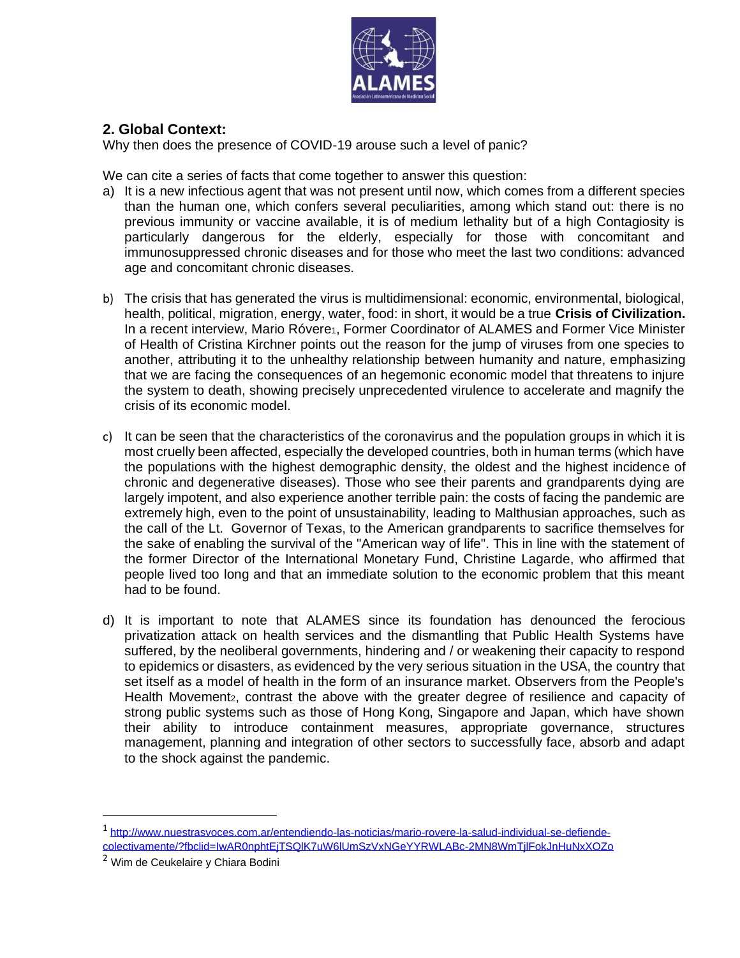

## **2. Global Context:**

Why then does the presence of COVID-19 arouse such a level of panic?

We can cite a series of facts that come together to answer this question:

- a) It is a new infectious agent that was not present until now, which comes from a different species than the human one, which confers several peculiarities, among which stand out: there is no previous immunity or vaccine available, it is of medium lethality but of a high Contagiosity is particularly dangerous for the elderly, especially for those with concomitant and immunosuppressed chronic diseases and for those who meet the last two conditions: advanced age and concomitant chronic diseases.
- b) The crisis that has generated the virus is multidimensional: economic, environmental, biological, health, political, migration, energy, water, food: in short, it would be a true **Crisis of Civilization.** In a recent interview, Mario Róvere<sub>1</sub>, Former Coordinator of ALAMES and Former Vice Minister of Health of Cristina Kirchner points out the reason for the jump of viruses from one species to another, attributing it to the unhealthy relationship between humanity and nature, emphasizing that we are facing the consequences of an hegemonic economic model that threatens to injure the system to death, showing precisely unprecedented virulence to accelerate and magnify the crisis of its economic model.
- c) It can be seen that the characteristics of the coronavirus and the population groups in which it is most cruelly been affected, especially the developed countries, both in human terms (which have the populations with the highest demographic density, the oldest and the highest incidence of chronic and degenerative diseases). Those who see their parents and grandparents dying are largely impotent, and also experience another terrible pain: the costs of facing the pandemic are extremely high, even to the point of unsustainability, leading to Malthusian approaches, such as the call of the Lt. Governor of Texas, to the American grandparents to sacrifice themselves for the sake of enabling the survival of the "American way of life". This in line with the statement of the former Director of the International Monetary Fund, Christine Lagarde, who affirmed that people lived too long and that an immediate solution to the economic problem that this meant had to be found.
- d) It is important to note that ALAMES since its foundation has denounced the ferocious privatization attack on health services and the dismantling that Public Health Systems have suffered, by the neoliberal governments, hindering and / or weakening their capacity to respond to epidemics or disasters, as evidenced by the very serious situation in the USA, the country that set itself as a model of health in the form of an insurance market. Observers from the People's Health Movement<sub>2</sub>, contrast the above with the greater degree of resilience and capacity of strong public systems such as those of Hong Kong, Singapore and Japan, which have shown their ability to introduce containment measures, appropriate governance, structures management, planning and integration of other sectors to successfully face, absorb and adapt to the shock against the pandemic.

<sup>1</sup> [http://www.nuestrasvoces.com.ar/entendiendo-las-noticias/mario-rovere-la-salud-individual-se-defiende](http://www.nuestrasvoces.com.ar/entendiendo-las-noticias/mario-rovere-la-salud-individual-se-defiende-colectivamente/?fbclid=IwAR0nphtEjTSQlK7uW6lUmSzVxNGeYYRWLABc-2MN8WmTjlFokJnHuNxXOZo)[colectivamente/?fbclid=IwAR0nphtEjTSQlK7uW6lUmSzVxNGeYYRWLABc-2MN8WmTjlFokJnHuNxXOZo](http://www.nuestrasvoces.com.ar/entendiendo-las-noticias/mario-rovere-la-salud-individual-se-defiende-colectivamente/?fbclid=IwAR0nphtEjTSQlK7uW6lUmSzVxNGeYYRWLABc-2MN8WmTjlFokJnHuNxXOZo)

<sup>2</sup> Wim de Ceukelaire y Chiara Bodini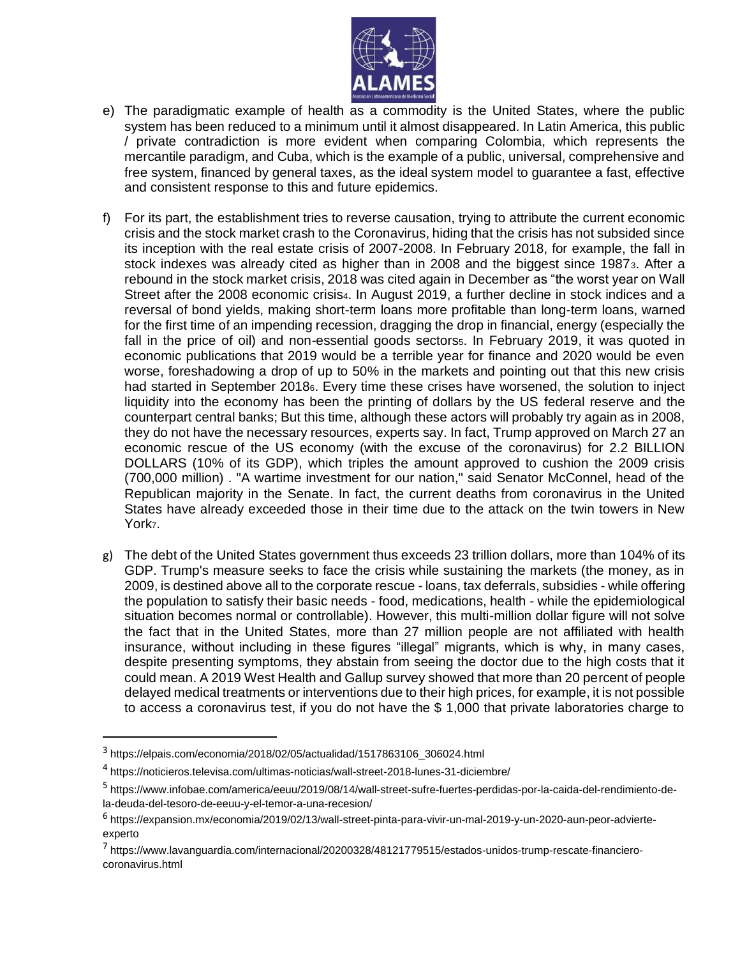

- e) The paradigmatic example of health as a commodity is the United States, where the public system has been reduced to a minimum until it almost disappeared. In Latin America, this public / private contradiction is more evident when comparing Colombia, which represents the mercantile paradigm, and Cuba, which is the example of a public, universal, comprehensive and free system, financed by general taxes, as the ideal system model to guarantee a fast, effective and consistent response to this and future epidemics.
- f) For its part, the establishment tries to reverse causation, trying to attribute the current economic crisis and the stock market crash to the Coronavirus, hiding that the crisis has not subsided since its inception with the real estate crisis of 2007-2008. In February 2018, for example, the fall in stock indexes was already cited as higher than in 2008 and the biggest since 19873. After a rebound in the stock market crisis, 2018 was cited again in December as "the worst year on Wall Street after the 2008 economic crisis<sub>4</sub>. In August 2019, a further decline in stock indices and a reversal of bond yields, making short-term loans more profitable than long-term loans, warned for the first time of an impending recession, dragging the drop in financial, energy (especially the fall in the price of oil) and non-essential goods sectors<sub>5</sub>. In February 2019, it was quoted in economic publications that 2019 would be a terrible year for finance and 2020 would be even worse, foreshadowing a drop of up to 50% in the markets and pointing out that this new crisis had started in September 20186. Every time these crises have worsened, the solution to inject liquidity into the economy has been the printing of dollars by the US federal reserve and the counterpart central banks; But this time, although these actors will probably try again as in 2008, they do not have the necessary resources, experts say. In fact, Trump approved on March 27 an economic rescue of the US economy (with the excuse of the coronavirus) for 2.2 BILLION DOLLARS (10% of its GDP), which triples the amount approved to cushion the 2009 crisis (700,000 million) . "A wartime investment for our nation," said Senator McConnel, head of the Republican majority in the Senate. In fact, the current deaths from coronavirus in the United States have already exceeded those in their time due to the attack on the twin towers in New York<sub>7</sub>.
- g) The debt of the United States government thus exceeds 23 trillion dollars, more than 104% of its GDP. Trump's measure seeks to face the crisis while sustaining the markets (the money, as in 2009, is destined above all to the corporate rescue - loans, tax deferrals, subsidies - while offering the population to satisfy their basic needs - food, medications, health - while the epidemiological situation becomes normal or controllable). However, this multi-million dollar figure will not solve the fact that in the United States, more than 27 million people are not affiliated with health insurance, without including in these figures "illegal" migrants, which is why, in many cases, despite presenting symptoms, they abstain from seeing the doctor due to the high costs that it could mean. A 2019 West Health and Gallup survey showed that more than 20 percent of people delayed medical treatments or interventions due to their high prices, for example, it is not possible to access a coronavirus test, if you do not have the \$ 1,000 that private laboratories charge to

<sup>3</sup> [https://elpais.com/economia/2018/02/05/actualidad/1517863106\\_306024.html](https://elpais.com/economia/2018/02/05/actualidad/1517863106_306024.html)

<sup>&</sup>lt;sup>4</sup> <https://noticieros.televisa.com/ultimas-noticias/wall-street-2018-lunes-31-diciembre/>

<sup>5</sup> [https://www.infobae.com/america/eeuu/2019/08/14/wall-street-sufre-fuertes-perdidas-por-la-caida-del-rendimiento-de](https://www.infobae.com/america/eeuu/2019/08/14/wall-street-sufre-fuertes-perdidas-por-la-caida-del-rendimiento-de-la-deuda-del-tesoro-de-eeuu-y-el-temor-a-una-recesion/)[la-deuda-del-tesoro-de-eeuu-y-el-temor-a-una-recesion/](https://www.infobae.com/america/eeuu/2019/08/14/wall-street-sufre-fuertes-perdidas-por-la-caida-del-rendimiento-de-la-deuda-del-tesoro-de-eeuu-y-el-temor-a-una-recesion/)

<sup>6</sup> [https://expansion.mx/economia/2019/02/13/wall-street-pinta-para-vivir-un-mal-2019-y-un-2020-aun-peor-advierte](https://expansion.mx/economia/2019/02/13/wall-street-pinta-para-vivir-un-mal-2019-y-un-2020-aun-peor-advierte-experto)[experto](https://expansion.mx/economia/2019/02/13/wall-street-pinta-para-vivir-un-mal-2019-y-un-2020-aun-peor-advierte-experto)

<sup>7</sup> [https://www.lavanguardia.com/internacional/20200328/48121779515/estados-unidos-trump-rescate-financiero](https://www.lavanguardia.com/internacional/20200328/48121779515/estados-unidos-trump-rescate-financiero-coronavirus.html)[coronavirus.html](https://www.lavanguardia.com/internacional/20200328/48121779515/estados-unidos-trump-rescate-financiero-coronavirus.html)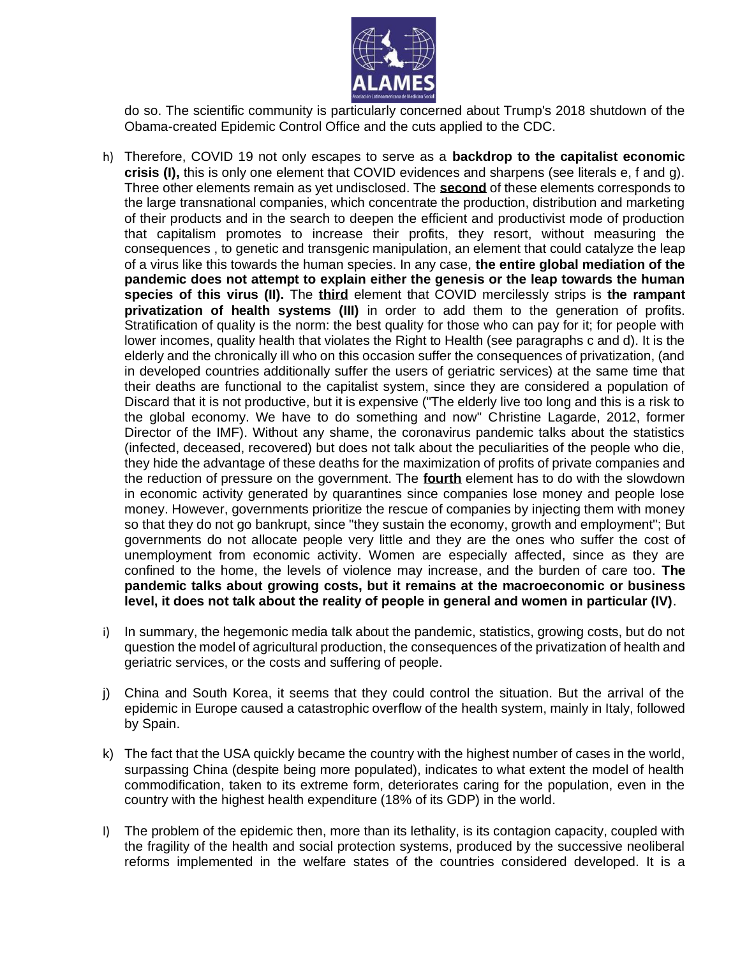

do so. The scientific community is particularly concerned about Trump's 2018 shutdown of the Obama-created Epidemic Control Office and the cuts applied to the CDC.

- h) Therefore, COVID 19 not only escapes to serve as a **backdrop to the capitalist economic crisis (I),** this is only one element that COVID evidences and sharpens (see literals e, f and g). Three other elements remain as yet undisclosed. The **second** of these elements corresponds to the large transnational companies, which concentrate the production, distribution and marketing of their products and in the search to deepen the efficient and productivist mode of production that capitalism promotes to increase their profits, they resort, without measuring the consequences , to genetic and transgenic manipulation, an element that could catalyze the leap of a virus like this towards the human species. In any case, **the entire global mediation of the pandemic does not attempt to explain either the genesis or the leap towards the human species of this virus (II).** The **third** element that COVID mercilessly strips is **the rampant privatization of health systems (III)** in order to add them to the generation of profits. Stratification of quality is the norm: the best quality for those who can pay for it; for people with lower incomes, quality health that violates the Right to Health (see paragraphs c and d). It is the elderly and the chronically ill who on this occasion suffer the consequences of privatization, (and in developed countries additionally suffer the users of geriatric services) at the same time that their deaths are functional to the capitalist system, since they are considered a population of Discard that it is not productive, but it is expensive ("The elderly live too long and this is a risk to the global economy. We have to do something and now" Christine Lagarde, 2012, former Director of the IMF). Without any shame, the coronavirus pandemic talks about the statistics (infected, deceased, recovered) but does not talk about the peculiarities of the people who die, they hide the advantage of these deaths for the maximization of profits of private companies and the reduction of pressure on the government. The **fourth** element has to do with the slowdown in economic activity generated by quarantines since companies lose money and people lose money. However, governments prioritize the rescue of companies by injecting them with money so that they do not go bankrupt, since "they sustain the economy, growth and employment"; But governments do not allocate people very little and they are the ones who suffer the cost of unemployment from economic activity. Women are especially affected, since as they are confined to the home, the levels of violence may increase, and the burden of care too. **The pandemic talks about growing costs, but it remains at the macroeconomic or business level, it does not talk about the reality of people in general and women in particular (IV)**.
- i) In summary, the hegemonic media talk about the pandemic, statistics, growing costs, but do not question the model of agricultural production, the consequences of the privatization of health and geriatric services, or the costs and suffering of people.
- j) China and South Korea, it seems that they could control the situation. But the arrival of the epidemic in Europe caused a catastrophic overflow of the health system, mainly in Italy, followed by Spain.
- k) The fact that the USA quickly became the country with the highest number of cases in the world, surpassing China (despite being more populated), indicates to what extent the model of health commodification, taken to its extreme form, deteriorates caring for the population, even in the country with the highest health expenditure (18% of its GDP) in the world.
- l) The problem of the epidemic then, more than its lethality, is its contagion capacity, coupled with the fragility of the health and social protection systems, produced by the successive neoliberal reforms implemented in the welfare states of the countries considered developed. It is a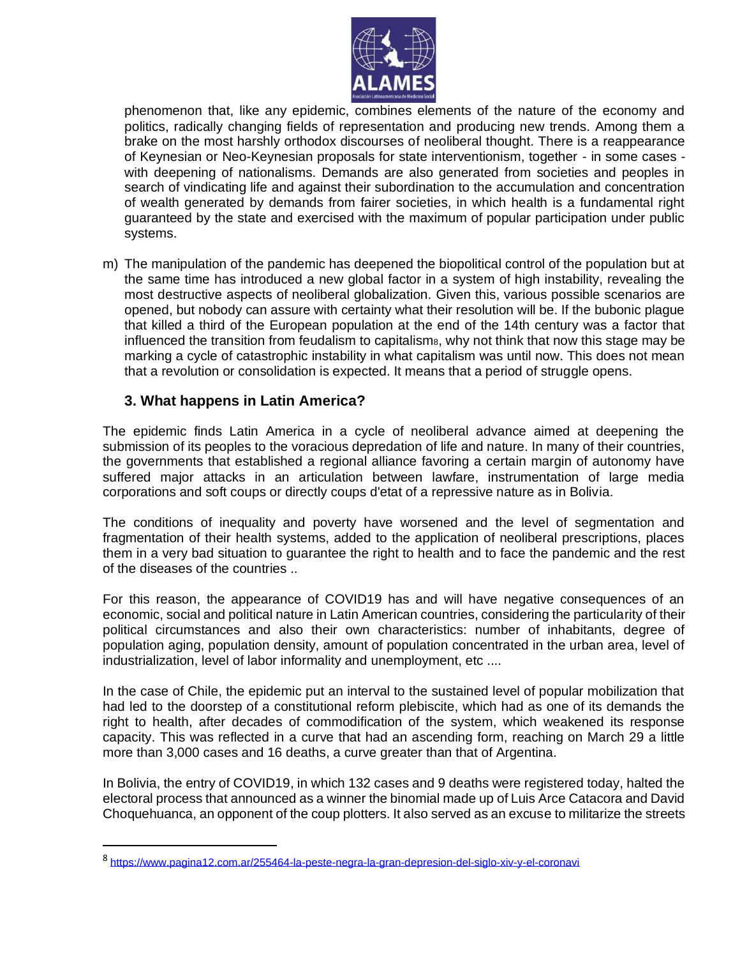

phenomenon that, like any epidemic, combines elements of the nature of the economy and politics, radically changing fields of representation and producing new trends. Among them a brake on the most harshly orthodox discourses of neoliberal thought. There is a reappearance of Keynesian or Neo-Keynesian proposals for state interventionism, together - in some cases with deepening of nationalisms. Demands are also generated from societies and peoples in search of vindicating life and against their subordination to the accumulation and concentration of wealth generated by demands from fairer societies, in which health is a fundamental right guaranteed by the state and exercised with the maximum of popular participation under public systems.

m) The manipulation of the pandemic has deepened the biopolitical control of the population but at the same time has introduced a new global factor in a system of high instability, revealing the most destructive aspects of neoliberal globalization. Given this, various possible scenarios are opened, but nobody can assure with certainty what their resolution will be. If the bubonic plague that killed a third of the European population at the end of the 14th century was a factor that influenced the transition from feudalism to capitalisms, why not think that now this stage may be marking a cycle of catastrophic instability in what capitalism was until now. This does not mean that a revolution or consolidation is expected. It means that a period of struggle opens.

## **3. What happens in Latin America?**

The epidemic finds Latin America in a cycle of neoliberal advance aimed at deepening the submission of its peoples to the voracious depredation of life and nature. In many of their countries, the governments that established a regional alliance favoring a certain margin of autonomy have suffered major attacks in an articulation between lawfare, instrumentation of large media corporations and soft coups or directly coups d'etat of a repressive nature as in Bolivia.

The conditions of inequality and poverty have worsened and the level of segmentation and fragmentation of their health systems, added to the application of neoliberal prescriptions, places them in a very bad situation to guarantee the right to health and to face the pandemic and the rest of the diseases of the countries ..

For this reason, the appearance of COVID19 has and will have negative consequences of an economic, social and political nature in Latin American countries, considering the particularity of their political circumstances and also their own characteristics: number of inhabitants, degree of population aging, population density, amount of population concentrated in the urban area, level of industrialization, level of labor informality and unemployment, etc ....

In the case of Chile, the epidemic put an interval to the sustained level of popular mobilization that had led to the doorstep of a constitutional reform plebiscite, which had as one of its demands the right to health, after decades of commodification of the system, which weakened its response capacity. This was reflected in a curve that had an ascending form, reaching on March 29 a little more than 3,000 cases and 16 deaths, a curve greater than that of Argentina.

In Bolivia, the entry of COVID19, in which 132 cases and 9 deaths were registered today, halted the electoral process that announced as a winner the binomial made up of Luis Arce Catacora and David Choquehuanca, an opponent of the coup plotters. It also served as an excuse to militarize the streets

<sup>8</sup> <https://www.pagina12.com.ar/255464-la-peste-negra-la-gran-depresion-del-siglo-xiv-y-el-coronavi>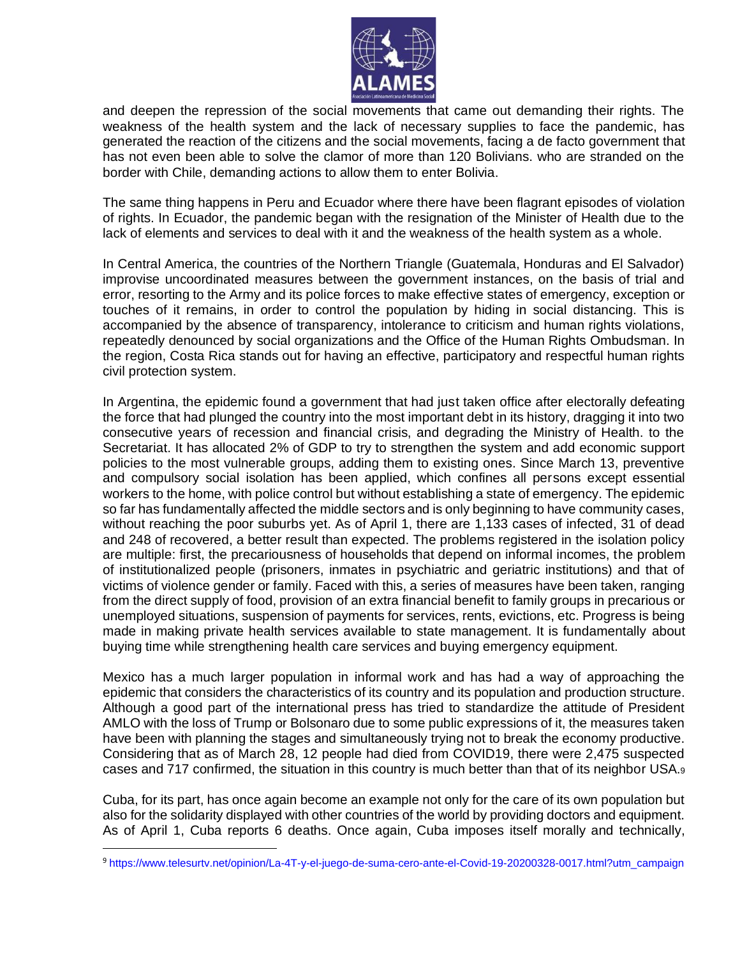

and deepen the repression of the social movements that came out demanding their rights. The weakness of the health system and the lack of necessary supplies to face the pandemic, has generated the reaction of the citizens and the social movements, facing a de facto government that has not even been able to solve the clamor of more than 120 Bolivians. who are stranded on the border with Chile, demanding actions to allow them to enter Bolivia.

The same thing happens in Peru and Ecuador where there have been flagrant episodes of violation of rights. In Ecuador, the pandemic began with the resignation of the Minister of Health due to the lack of elements and services to deal with it and the weakness of the health system as a whole.

In Central America, the countries of the Northern Triangle (Guatemala, Honduras and El Salvador) improvise uncoordinated measures between the government instances, on the basis of trial and error, resorting to the Army and its police forces to make effective states of emergency, exception or touches of it remains, in order to control the population by hiding in social distancing. This is accompanied by the absence of transparency, intolerance to criticism and human rights violations, repeatedly denounced by social organizations and the Office of the Human Rights Ombudsman. In the region, Costa Rica stands out for having an effective, participatory and respectful human rights civil protection system.

In Argentina, the epidemic found a government that had just taken office after electorally defeating the force that had plunged the country into the most important debt in its history, dragging it into two consecutive years of recession and financial crisis, and degrading the Ministry of Health. to the Secretariat. It has allocated 2% of GDP to try to strengthen the system and add economic support policies to the most vulnerable groups, adding them to existing ones. Since March 13, preventive and compulsory social isolation has been applied, which confines all persons except essential workers to the home, with police control but without establishing a state of emergency. The epidemic so far has fundamentally affected the middle sectors and is only beginning to have community cases, without reaching the poor suburbs yet. As of April 1, there are 1,133 cases of infected, 31 of dead and 248 of recovered, a better result than expected. The problems registered in the isolation policy are multiple: first, the precariousness of households that depend on informal incomes, the problem of institutionalized people (prisoners, inmates in psychiatric and geriatric institutions) and that of victims of violence gender or family. Faced with this, a series of measures have been taken, ranging from the direct supply of food, provision of an extra financial benefit to family groups in precarious or unemployed situations, suspension of payments for services, rents, evictions, etc. Progress is being made in making private health services available to state management. It is fundamentally about buying time while strengthening health care services and buying emergency equipment.

Mexico has a much larger population in informal work and has had a way of approaching the epidemic that considers the characteristics of its country and its population and production structure. Although a good part of the international press has tried to standardize the attitude of President AMLO with the loss of Trump or Bolsonaro due to some public expressions of it, the measures taken have been with planning the stages and simultaneously trying not to break the economy productive. Considering that as of March 28, 12 people had died from COVID19, there were 2,475 suspected cases and 717 confirmed, the situation in this country is much better than that of its neighbor USA.<sup>9</sup>

Cuba, for its part, has once again become an example not only for the care of its own population but also for the solidarity displayed with other countries of the world by providing doctors and equipment. As of April 1, Cuba reports 6 deaths. Once again, Cuba imposes itself morally and technically,

<sup>9</sup> [https://www.telesurtv.net/opinion/La-4T-y-el-juego-de-suma-cero-ante-el-Covid-19-20200328-0017.html?utm\\_campaign](https://www.telesurtv.net/opinion/La-4T-y-el-juego-de-suma-cero-ante-el-Covid-19-20200328-0017.html?utm_campaign)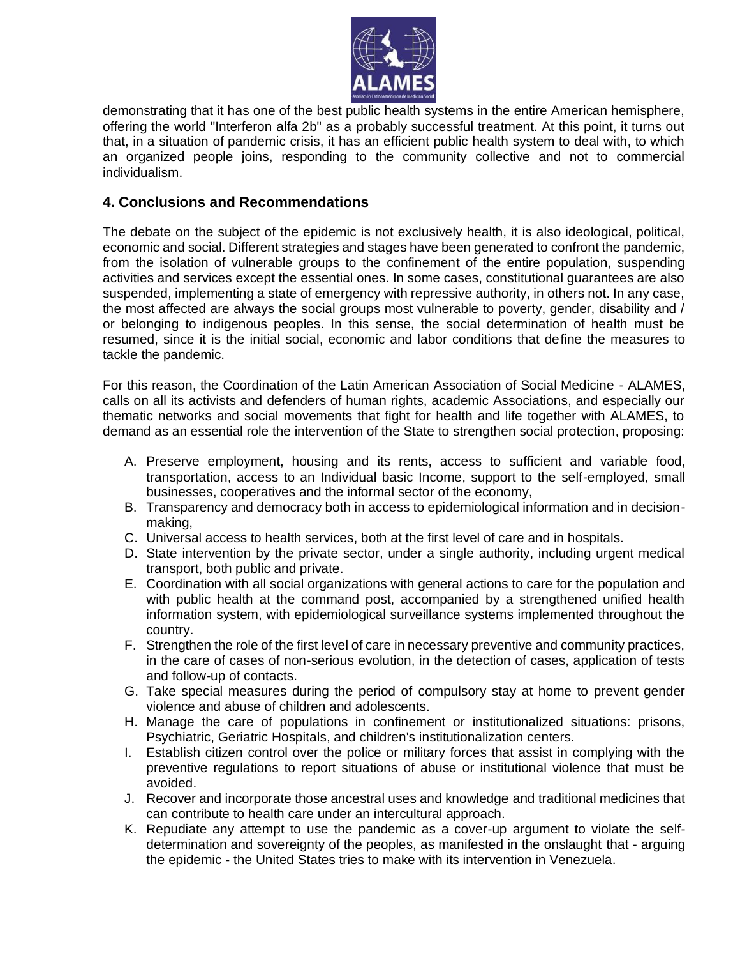

demonstrating that it has one of the best public health systems in the entire American hemisphere, offering the world "Interferon alfa 2b" as a probably successful treatment. At this point, it turns out that, in a situation of pandemic crisis, it has an efficient public health system to deal with, to which an organized people joins, responding to the community collective and not to commercial individualism.

## **4. Conclusions and Recommendations**

The debate on the subject of the epidemic is not exclusively health, it is also ideological, political, economic and social. Different strategies and stages have been generated to confront the pandemic, from the isolation of vulnerable groups to the confinement of the entire population, suspending activities and services except the essential ones. In some cases, constitutional guarantees are also suspended, implementing a state of emergency with repressive authority, in others not. In any case, the most affected are always the social groups most vulnerable to poverty, gender, disability and / or belonging to indigenous peoples. In this sense, the social determination of health must be resumed, since it is the initial social, economic and labor conditions that define the measures to tackle the pandemic.

For this reason, the Coordination of the Latin American Association of Social Medicine - ALAMES, calls on all its activists and defenders of human rights, academic Associations, and especially our thematic networks and social movements that fight for health and life together with ALAMES, to demand as an essential role the intervention of the State to strengthen social protection, proposing:

- A. Preserve employment, housing and its rents, access to sufficient and variable food, transportation, access to an Individual basic Income, support to the self-employed, small businesses, cooperatives and the informal sector of the economy,
- B. Transparency and democracy both in access to epidemiological information and in decisionmaking,
- C. Universal access to health services, both at the first level of care and in hospitals.
- D. State intervention by the private sector, under a single authority, including urgent medical transport, both public and private.
- E. Coordination with all social organizations with general actions to care for the population and with public health at the command post, accompanied by a strengthened unified health information system, with epidemiological surveillance systems implemented throughout the country.
- F. Strengthen the role of the first level of care in necessary preventive and community practices, in the care of cases of non-serious evolution, in the detection of cases, application of tests and follow-up of contacts.
- G. Take special measures during the period of compulsory stay at home to prevent gender violence and abuse of children and adolescents.
- H. Manage the care of populations in confinement or institutionalized situations: prisons, Psychiatric, Geriatric Hospitals, and children's institutionalization centers.
- I. Establish citizen control over the police or military forces that assist in complying with the preventive regulations to report situations of abuse or institutional violence that must be avoided.
- J. Recover and incorporate those ancestral uses and knowledge and traditional medicines that can contribute to health care under an intercultural approach.
- K. Repudiate any attempt to use the pandemic as a cover-up argument to violate the selfdetermination and sovereignty of the peoples, as manifested in the onslaught that - arguing the epidemic - the United States tries to make with its intervention in Venezuela.